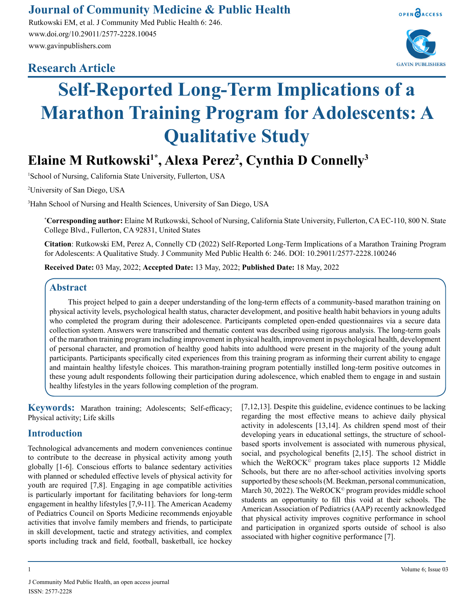## **Journal of Community Medicine & Public Health**

Rutkowski EM, et al. J Community Med Public Health 6: 246. www.doi.org/10.29011/2577-2228.10045 www.gavinpublishers.com

### **Research Article**





# **Self-Reported Long-Term Implications of a Marathon Training Program for Adolescents: A Qualitative Study**

## **Elaine M Rutkowski1\*, Alexa Perez2 , Cynthia D Connelly3**

1 School of Nursing, California State University, Fullerton, USA

2 University of San Diego, USA

3 Hahn School of Nursing and Health Sciences, University of San Diego, USA

**\* Corresponding author:** Elaine M Rutkowski, School of Nursing, California State University, Fullerton, CA EC-110, 800 N. State College Blvd., Fullerton, CA 92831, United States

**Citation**: Rutkowski EM, Perez A, Connelly CD (2022) Self-Reported Long-Term Implications of a Marathon Training Program for Adolescents: A Qualitative Study. J Community Med Public Health 6: 246. DOI: 10.29011/2577-2228.100246

**Received Date:** 03 May, 2022; **Accepted Date:** 13 May, 2022; **Published Date:** 18 May, 2022

#### **Abstract**

This project helped to gain a deeper understanding of the long-term effects of a community-based marathon training on physical activity levels, psychological health status, character development, and positive health habit behaviors in young adults who completed the program during their adolescence. Participants completed open-ended questionnaires via a secure data collection system. Answers were transcribed and thematic content was described using rigorous analysis. The long-term goals of the marathon training program including improvement in physical health, improvement in psychological health, development of personal character, and promotion of healthy good habits into adulthood were present in the majority of the young adult participants. Participants specifically cited experiences from this training program as informing their current ability to engage and maintain healthy lifestyle choices. This marathon-training program potentially instilled long-term positive outcomes in these young adult respondents following their participation during adolescence, which enabled them to engage in and sustain healthy lifestyles in the years following completion of the program.

**Keywords:** Marathon training; Adolescents; Self-efficacy; Physical activity; Life skills

#### **Introduction**

Technological advancements and modern conveniences continue to contribute to the decrease in physical activity among youth globally [1-6]. Conscious efforts to balance sedentary activities with planned or scheduled effective levels of physical activity for youth are required [7,8]. Engaging in age compatible activities is particularly important for facilitating behaviors for long-term engagement in healthy lifestyles [7,9-11]. The American Academy of Pediatrics Council on Sports Medicine recommends enjoyable activities that involve family members and friends, to participate in skill development, tactic and strategy activities, and complex sports including track and field, football, basketball, ice hockey

[7,12,13]. Despite this guideline, evidence continues to be lacking regarding the most effective means to achieve daily physical activity in adolescents [13,14]. As children spend most of their developing years in educational settings, the structure of schoolbased sports involvement is associated with numerous physical, social, and psychological benefits [2,15]. The school district in which the WeROCK<sup>®</sup> program takes place supports 12 Middle Schools, but there are no after-school activities involving sports supported by these schools (M. Beekman, personal communication, March 30, 2022). The WeROCK<sup> $\circ$ </sup> program provides middle school students an opportunity to fill this void at their schools. The American Association of Pediatrics (AAP) recently acknowledged that physical activity improves cognitive performance in school and participation in organized sports outside of school is also associated with higher cognitive performance [7].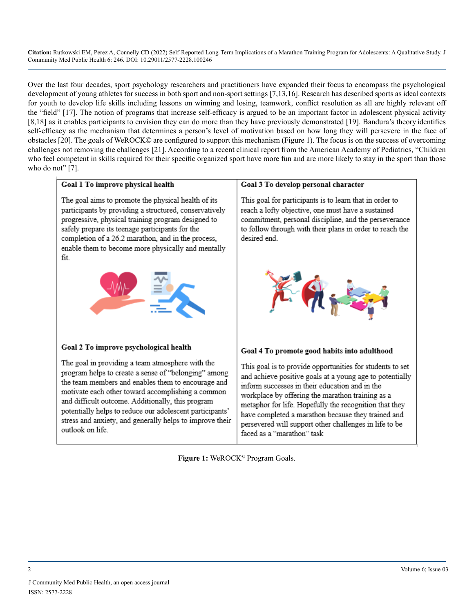Over the last four decades, sport psychology researchers and practitioners have expanded their focus to encompass the psychological development of young athletes for success in both sport and non-sport settings [7,13,16]. Research has described sports as ideal contexts for youth to develop life skills including lessons on winning and losing, teamwork, conflict resolution as all are highly relevant off the "field" [17]. The notion of programs that increase self-efficacy is argued to be an important factor in adolescent physical activity [8,18] as it enables participants to envision they can do more than they have previously demonstrated [19]. Bandura's theory identifies self-efficacy as the mechanism that determines a person's level of motivation based on how long they will persevere in the face of obstacles [20]. The goals of WeROCK© are configured to support this mechanism (Figure 1). The focus is on the success of overcoming challenges not removing the challenges [21]. According to a recent clinical report from the American Academy of Pediatrics, "Children who feel competent in skills required for their specific organized sport have more fun and are more likely to stay in the sport than those who do not" [7].



Figure 1: WeROCK<sup>©</sup> Program Goals.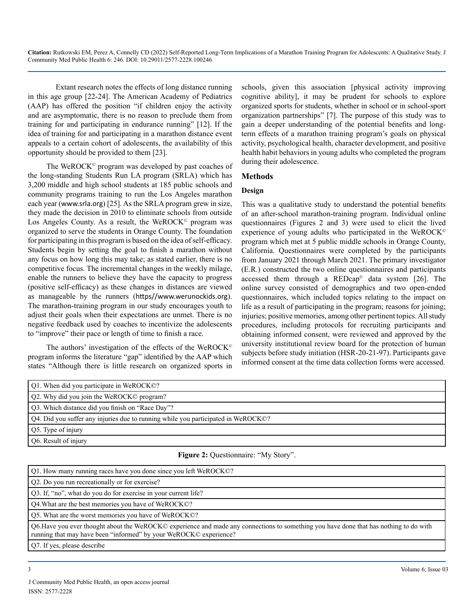Extant research notes the effects of long distance running in this age group [22-24]. The American Academy of Pediatrics (AAP) has offered the position "if children enjoy the activity and are asymptomatic, there is no reason to preclude them from training for and participating in endurance running" [12]. If the idea of training for and participating in a marathon distance event appeals to a certain cohort of adolescents, the availability of this opportunity should be provided to them [23].

The WeROCK<sup>®</sup> program was developed by past coaches of the long-standing Students Run LA program (SRLA) which has 3,200 middle and high school students at 185 public schools and community programs training to run the Los Angeles marathon each year ([www.srla.org](http://www.srla.org)) [25]. As the SRLA program grew in size, they made the decision in 2010 to eliminate schools from outside Los Angeles County. As a result, the WeROCK<sup>®</sup> program was organized to serve the students in Orange County. The foundation for participating in this program is based on the idea of self-efficacy. Students begin by setting the goal to finish a marathon without any focus on how long this may take; as stated earlier, there is no competitive focus. The incremental changes in the weekly milage, enable the runners to believe they have the capacity to progress (positive self-efficacy) as these changes in distances are viewed as manageable by the runners ([https//www.werunockids.org](https://werunockids.org/)). The marathon-training program in our study encourages youth to adjust their goals when their expectations are unmet. There is no negative feedback used by coaches to incentivize the adolescents to "improve" their pace or length of time to finish a race.

The authors' investigation of the effects of the WeROCK© program informs the literature "gap" identified by the AAP which states "Although there is little research on organized sports in

schools, given this association [physical activity improving cognitive ability], it may be prudent for schools to explore organized sports for students, whether in school or in school-sport organization partnerships" [7]. The purpose of this study was to gain a deeper understanding of the potential benefits and longterm effects of a marathon training program's goals on physical activity, psychological health, character development, and positive health habit behaviors in young adults who completed the program during their adolescence.

#### **Methods**

#### **Design**

This was a qualitative study to understand the potential benefits of an after-school marathon-training program. Individual online questionnaires (Figures 2 and 3) were used to elicit the lived experience of young adults who participated in the WeROCK© program which met at 5 public middle schools in Orange County, California. Questionnaires were completed by the participants from January 2021 through March 2021. The primary investigator (E.R.) constructed the two online questionnaires and participants accessed them through a REDcap© data system [26]. The online survey consisted of demographics and two open-ended questionnaires, which included topics relating to the impact on life as a result of participating in the program; reasons for joining; injuries; positive memories, among other pertinent topics. All study procedures, including protocols for recruiting participants and obtaining informed consent, were reviewed and approved by the university institutional review board for the protection of human subjects before study initiation (HSR-20-21-97). Participants gave informed consent at the time data collection forms were accessed.

| Q1. When did you participate in WeROCK©?                                          |
|-----------------------------------------------------------------------------------|
| Q2. Why did you join the WeROCK© program?                                         |
| O3. Which distance did you finish on "Race Day"?                                  |
| Q4. Did you suffer any injuries due to running while you participated in WeROCK©? |
| Q5. Type of injury                                                                |
| O6. Result of injury                                                              |
| $\sim$ $\sim$ $\sim$ $\sim$ $\sim$ $\sim$ $\sim$                                  |

#### **Figure 2:** Questionnaire: "My Story".

| Q1. How many running races have you done since you left WeROCK©?                                                                                                                                            |
|-------------------------------------------------------------------------------------------------------------------------------------------------------------------------------------------------------------|
| O2. Do you run recreationally or for exercise?                                                                                                                                                              |
| Q3. If, "no", what do you do for exercise in your current life?                                                                                                                                             |
| O4. What are the best memories you have of WeROCK©?                                                                                                                                                         |
| Q5. What are the worst memories you have of WeROCK©?                                                                                                                                                        |
| Q6. Have you ever thought about the WeROCK© experience and made any connections to something you have done that has nothing to do with<br>running that may have been "informed" by your WeROCK© experience? |
| Q7. If yes, please describe                                                                                                                                                                                 |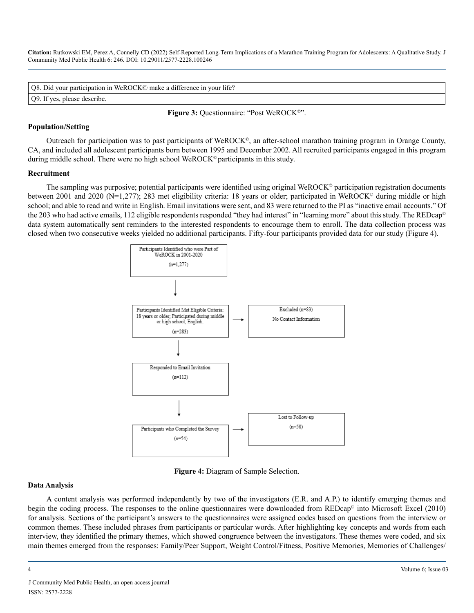| Q8. Did your participation in WeROCK© make a difference in your life? |
|-----------------------------------------------------------------------|
| Q9. If yes, please describe.                                          |

Figure 3: Questionnaire: "Post WeROCK<sup>®</sup>".

#### **Population/Setting**

Outreach for participation was to past participants of WeROCK©, an after-school marathon training program in Orange County, CA, and included all adolescent participants born between 1995 and December 2002. All recruited participants engaged in this program during middle school. There were no high school WeROCK© participants in this study.

#### **Recruitment**

The sampling was purposive; potential participants were identified using original WeROCK<sup>®</sup> participation registration documents between 2001 and 2020 (N=1,277); 283 met eligibility criteria: 18 years or older; participated in WeROCK<sup>®</sup> during middle or high school; and able to read and write in English. Email invitations were sent, and 83 were returned to the PI as "inactive email accounts." Of the 203 who had active emails, 112 eligible respondents responded "they had interest" in "learning more" about this study. The REDcap<sup>©</sup> data system automatically sent reminders to the interested respondents to encourage them to enroll. The data collection process was closed when two consecutive weeks yielded no additional participants. Fifty-four participants provided data for our study (Figure 4).



**Figure 4:** Diagram of Sample Selection.

#### **Data Analysis**

A content analysis was performed independently by two of the investigators (E.R. and A.P.) to identify emerging themes and begin the coding process. The responses to the online questionnaires were downloaded from REDcap<sup>®</sup> into Microsoft Excel (2010) for analysis. Sections of the participant's answers to the questionnaires were assigned codes based on questions from the interview or common themes. These included phrases from participants or particular words. After highlighting key concepts and words from each interview, they identified the primary themes, which showed congruence between the investigators. These themes were coded, and six main themes emerged from the responses: Family/Peer Support, Weight Control/Fitness, Positive Memories, Memories of Challenges/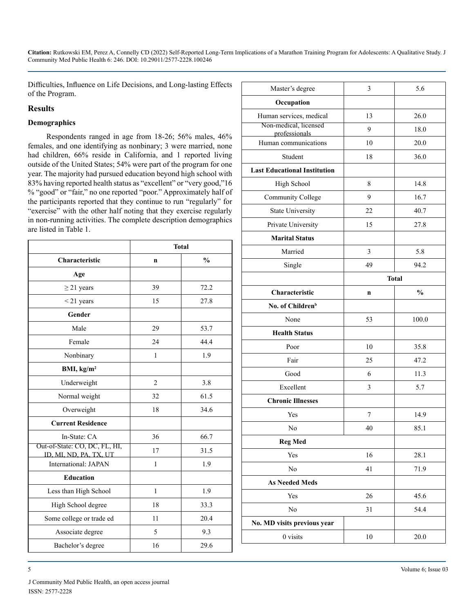Difficulties, Influence on Life Decisions, and Long-lasting Effects of the Program.

#### **Results**

#### **Demographics**

Respondents ranged in age from 18-26; 56% males, 46% females, and one identifying as nonbinary; 3 were married, none had children, 66% reside in California, and 1 reported living outside of the United States; 54% were part of the program for one year. The majority had pursued education beyond high school with 83% having reported health status as "excellent" or "very good,"16 % "good" or "fair," no one reported "poor." Approximately half of the participants reported that they continue to run "regularly" for "exercise" with the other half noting that they exercise regularly in non-running activities. The complete description demographics are listed in Table 1.

|                                                         | <b>Total</b>   |               |
|---------------------------------------------------------|----------------|---------------|
| Characteristic                                          | $\mathbf n$    | $\frac{0}{0}$ |
| Age                                                     |                |               |
| $\geq$ 21 years                                         | 39             | 72.2          |
| $<$ 21 years                                            | 15             | 27.8          |
| Gender                                                  |                |               |
| Male                                                    | 29             | 53.7          |
| Female                                                  | 24             | 44.4          |
| Nonbinary                                               | $\mathbf{1}$   | 1.9           |
| BMI, $kg/m2$                                            |                |               |
| Underweight                                             | $\overline{2}$ | 3.8           |
| Normal weight                                           | 32             | 61.5          |
| Overweight                                              | 18             | 34.6          |
| <b>Current Residence</b>                                |                |               |
| In-State: CA                                            | 36             | 66.7          |
| Out-of-State: CO, DC, FL, HI,<br>ID, MI, ND, PA, TX, UT | 17             | 31.5          |
| International: JAPAN                                    | $\mathbf{1}$   | 1.9           |
| <b>Education</b>                                        |                |               |
| Less than High School                                   | $\mathbf{1}$   | 1.9           |
| High School degree                                      | 18             | 33.3          |
| Some college or trade ed                                | 11             | 20.4          |
| Associate degree                                        | 5              | 9.3           |
| Bachelor's degree                                       | 16             | 29.6          |

| Master's degree                        | 3            | 5.6           |
|----------------------------------------|--------------|---------------|
| Occupation                             |              |               |
| Human services, medical                | 13           | 26.0          |
| Non-medical, licensed<br>professionals | 9            | 18.0          |
| Human communications                   | 10           | 20.0          |
| Student                                | 18           | 36.0          |
| <b>Last Educational Institution</b>    |              |               |
| High School                            | 8            | 14.8          |
| <b>Community College</b>               | 9            | 16.7          |
| <b>State University</b>                | 22           | 40.7          |
| Private University                     | 15           | 27.8          |
| <b>Marital Status</b>                  |              |               |
| Married                                | 3            | 5.8           |
| Single                                 | 49           | 94.2          |
|                                        | <b>Total</b> |               |
| Characteristic                         | n            | $\frac{0}{0}$ |
| No. of Children <sup>b</sup>           |              |               |
| None                                   | 53           | 100.0         |
| <b>Health Status</b>                   |              |               |
| Poor                                   | 10           | 35.8          |
| Fair                                   | 25           | 47.2          |
| Good                                   | 6            | 11.3          |
| Excellent                              | 3            | 5.7           |
| <b>Chronic Illnesses</b>               |              |               |
| Yes                                    | 7            | 14.9          |
| No                                     | 40           | 85.1          |
| <b>Reg Med</b>                         |              |               |
| Yes                                    | 16           | 28.1          |
| No                                     | 41           | 71.9          |
| <b>As Needed Meds</b>                  |              |               |
| Yes                                    | 26           | 45.6          |
| No                                     | 31           | 54.4          |
| No. MD visits previous year            |              |               |
| 0 visits                               | $10\,$       | 20.0          |
|                                        |              |               |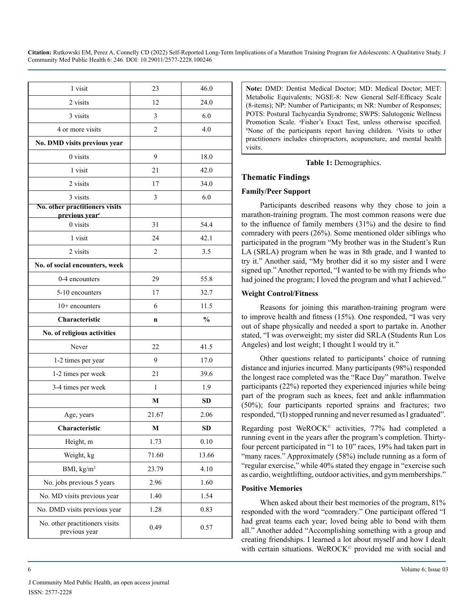| 1 visit                                                      | 23    | 46.0          |
|--------------------------------------------------------------|-------|---------------|
| 2 visits                                                     | 12    | 24.0          |
| 3 visits                                                     | 3     | 6.0           |
| 4 or more visits                                             | 2     | 4.0           |
| No. DMD visits previous year                                 |       |               |
| 0 visits                                                     | 9     | 18.0          |
| 1 visit                                                      | 21    | 42.0          |
| 2 visits                                                     | 17    | 34.0          |
| 3 visits                                                     | 3     | 6.0           |
| No. other practitioners visits<br>previous year <sup>c</sup> |       |               |
| 0 visits                                                     | 31    | 54.4          |
| 1 visit                                                      | 24    | 42.1          |
| 2 visits                                                     | 2     | 3.5           |
| No. of social encounters, week                               |       |               |
| 0-4 encounters                                               | 29    | 55.8          |
| 5-10 encounters                                              | 17    | 32.7          |
| $10+$ encounters                                             | 6     | 11.5          |
| Characteristic                                               | n     | $\frac{0}{0}$ |
| No. of religious activities                                  |       |               |
| Never                                                        | 22    | 41.5          |
| 1-2 times per year                                           | 9     | 17.0          |
| 1-2 times per week                                           | 21    | 39.6          |
| 3-4 times per week                                           | 1     | 1.9           |
|                                                              | M     | <b>SD</b>     |
| Age, years                                                   | 21.67 | 2.06          |
| Characteristic                                               | M     | <b>SD</b>     |
| Height, m                                                    | 1.73  | 0.10          |
| Weight, kg                                                   | 71.60 | 13.66         |
| BMI, kg/m <sup>2</sup>                                       | 23.79 | 4.10          |
| No. jobs previous 5 years                                    | 2.96  | 1.60          |
| No. MD visits previous year                                  | 1.40  | 1.54          |
| No. DMD visits previous year                                 | 1.28  | 0.83          |
| No. other practitioners visits<br>previous year              | 0.49  | 0.57          |

**Note:** DMD: Dentist Medical Doctor; MD: Medical Doctor; MET: Metabolic Equivalents; NGSE-8: New General Self-Efficacy Scale (8-items); NP: Number of Participants; m NR: Number of Responses; POTS: Postural Tachycardia Syndrome; SWPS: Salutogenic Wellness Promotion Scale. a Fisher's Exact Test, unless otherwise specified. <sup>b</sup>None of the participants report having children. <sup>c</sup>Visits to other practitioners includes chiropractors, acupuncture, and mental health visits.

**Table 1:** Demographics.

#### **Thematic Findings**

#### **Family/Peer Support**

Participants described reasons why they chose to join a marathon-training program. The most common reasons were due to the influence of family members (31%) and the desire to find comradery with peers (26%). Some mentioned older siblings who participated in the program "My brother was in the Student's Run LA (SRLA) program when he was in 8th grade, and I wanted to try it." Another said, "My brother did it so my sister and I were signed up." Another reported, "I wanted to be with my friends who had joined the program; I loved the program and what I achieved."

#### **Weight Control/Fitness**

Reasons for joining this marathon-training program were to improve health and fitness (15%). One responded, "I was very out of shape physically and needed a sport to partake in. Another stated, "I was overweight; my sister did SRLA (Students Run Los Angeles) and lost weight; I thought I would try it."

Other questions related to participants' choice of running distance and injuries incurred. Many participants (98%) responded the longest race completed was the "Race Day" marathon. Twelve participants (22%) reported they experienced injuries while being part of the program such as knees, feet and ankle inflammation (50%); four participants reported sprains and fractures; two responded, "(I) stopped running and never resumed as I graduated".

Regarding post WeROCK © activities, 77% had completed a running event in the years after the program's completion. Thirtyfour percent participated in "1 to 10" races, 19% had taken part in "many races." Approximately (58%) include running as a form of "regular exercise," while 40% stated they engage in "exercise such as cardio, weightlifting, outdoor activities, and gym memberships."

#### **Positive Memories**

When asked about their best memories of the program, 81% responded with the word "comradery." One participant offered "I had great teams each year; loved being able to bond with them all." Another added "Accomplishing something with a group and creating friendships. I learned a lot about myself and how I dealt with certain situations. WeROCK © provided me with social and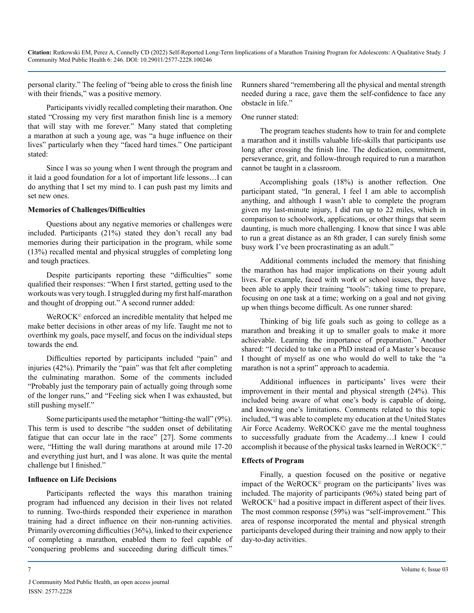personal clarity." The feeling of "being able to cross the finish line with their friends," was a positive memory.

Participants vividly recalled completing their marathon. One stated "Crossing my very first marathon finish line is a memory that will stay with me forever." Many stated that completing a marathon at such a young age, was "a huge influence on their lives" particularly when they "faced hard times." One participant stated:

Since I was so young when I went through the program and it laid a good foundation for a lot of important life lessons…I can do anything that I set my mind to. I can push past my limits and set new ones.

#### **Memories of Challenges/Difficulties**

Questions about any negative memories or challenges were included. Participants (21%) stated they don't recall any bad memories during their participation in the program, while some (13%) recalled mental and physical struggles of completing long and tough practices.

Despite participants reporting these "difficulties" some qualified their responses: "When I first started, getting used to the workouts was very tough. I struggled during my first half-marathon and thought of dropping out." A second runner added:

WeROCK<sup>©</sup> enforced an incredible mentality that helped me make better decisions in other areas of my life. Taught me not to overthink my goals, pace myself, and focus on the individual steps towards the end.

Difficulties reported by participants included "pain" and injuries (42%). Primarily the "pain" was that felt after completing the culminating marathon. Some of the comments included "Probably just the temporary pain of actually going through some of the longer runs," and "Feeling sick when I was exhausted, but still pushing myself."

Some participants used the metaphor "hitting-the wall" (9%). This term is used to describe "the sudden onset of debilitating fatigue that can occur late in the race" [27]. Some comments were, "Hitting the wall during marathons at around mile 17-20 and everything just hurt, and I was alone. It was quite the mental challenge but I finished."

#### **Influence on Life Decisions**

Participants reflected the ways this marathon training program had influenced any decision in their lives not related to running. Two-thirds responded their experience in marathon training had a direct influence on their non-running activities. Primarily overcoming difficulties (36%), linked to their experience of completing a marathon, enabled them to feel capable of "conquering problems and succeeding during difficult times."

Runners shared "remembering all the physical and mental strength needed during a race, gave them the self-confidence to face any obstacle in life."

#### One runner stated:

The program teaches students how to train for and complete a marathon and it instills valuable life-skills that participants use long after crossing the finish line. The dedication, commitment, perseverance, grit, and follow-through required to run a marathon cannot be taught in a classroom.

Accomplishing goals (18%) is another reflection. One participant stated, "In general, I feel I am able to accomplish anything, and although I wasn't able to complete the program given my last-minute injury, I did run up to 22 miles, which in comparison to schoolwork, applications, or other things that seem daunting, is much more challenging. I know that since I was able to run a great distance as an 8th grader, I can surely finish some busy work I've been procrastinating as an adult."

Additional comments included the memory that finishing the marathon has had major implications on their young adult lives. For example, faced with work or school issues, they have been able to apply their training "tools": taking time to prepare, focusing on one task at a time; working on a goal and not giving up when things become difficult. As one runner shared:

Thinking of big life goals such as going to college as a marathon and breaking it up to smaller goals to make it more achievable. Learning the importance of preparation." Another shared: "I decided to take on a PhD instead of a Master's because I thought of myself as one who would do well to take the "a marathon is not a sprint" approach to academia.

Additional influences in participants' lives were their improvement in their mental and physical strength (24%). This included being aware of what one's body is capable of doing, and knowing one's limitations. Comments related to this topic included, "I was able to complete my education at the United States Air Force Academy. WeROCK© gave me the mental toughness to successfully graduate from the Academy…I knew I could accomplish it because of the physical tasks learned in WeROCK©."

#### **Effects of Program**

Finally, a question focused on the positive or negative impact of the WeROCK© program on the participants' lives was included. The majority of participants (96%) stated being part of WeROCK<sup>©</sup> had a positive impact in different aspect of their lives. The most common response (59%) was "self-improvement." This area of response incorporated the mental and physical strength participants developed during their training and now apply to their day-to-day activities.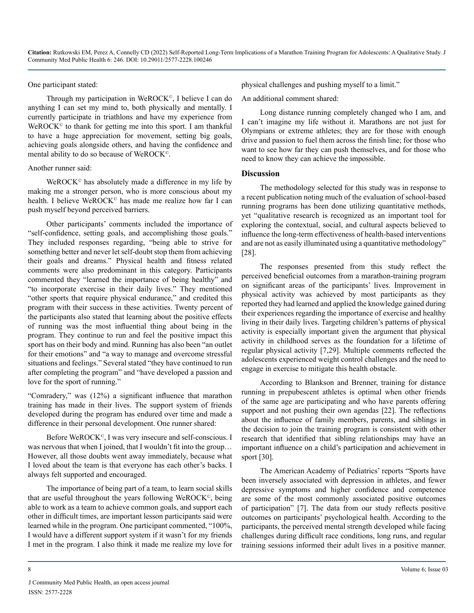#### One participant stated:

Through my participation in WeROCK©, I believe I can do anything I can set my mind to, both physically and mentally. I currently participate in triathlons and have my experience from WeROCK $<sup>°</sup>$  to thank for getting me into this sport. I am thankful</sup> to have a huge appreciation for movement, setting big goals, achieving goals alongside others, and having the confidence and mental ability to do so because of WeROCK©.

#### Another runner said:

 $W$ eROC $K^{\circ}$  has absolutely made a difference in my life by making me a stronger person, who is more conscious about my health. I believe WeROCK<sup>®</sup> has made me realize how far I can push myself beyond perceived barriers.

Other participants' comments included the importance of "self-confidence, setting goals, and accomplishing those goals." They included responses regarding, "being able to strive for something better and never let self-doubt stop them from achieving their goals and dreams." Physical health and fitness related comments were also predominant in this category. Participants commented they "learned the importance of being healthy" and "to incorporate exercise in their daily lives." They mentioned "other sports that require physical endurance," and credited this program with their success in these activities. Twenty percent of the participants also stated that learning about the positive effects of running was the most influential thing about being in the program. They continue to run and feel the positive impact this sport has on their body and mind. Running has also been "an outlet for their emotions" and "a way to manage and overcome stressful situations and feelings." Several stated "they have continued to run after completing the program" and "have developed a passion and love for the sport of running."

"Comradery," was (12%) a significant influence that marathon training has made in their lives. The support system of friends developed during the program has endured over time and made a difference in their personal development. One runner shared:

Before WeROCK©, I was very insecure and self-conscious. I was nervous that when I joined, that I wouldn't fit into the group... However, all those doubts went away immediately, because what I loved about the team is that everyone has each other's backs. I always felt supported and encouraged.

The importance of being part of a team, to learn social skills that are useful throughout the years following WeROCK©, being able to work as a team to achieve common goals, and support each other in difficult times, are important lesson participants said were learned while in the program. One participant commented, "100%, I would have a different support system if it wasn't for my friends I met in the program. I also think it made me realize my love for

physical challenges and pushing myself to a limit."

An additional comment shared:

Long distance running completely changed who I am, and I can't imagine my life without it. Marathons are not just for Olympians or extreme athletes; they are for those with enough drive and passion to fuel them across the finish line; for those who want to see how far they can push themselves, and for those who need to know they can achieve the impossible.

#### **Discussion**

The methodology selected for this study was in response to a recent publication noting much of the evaluation of school-based running programs has been done utilizing quantitative methods, yet "qualitative research is recognized as an important tool for exploring the contextual, social, and cultural aspects believed to influence the long-term effectiveness of health-based interventions and are not as easily illuminated using a quantitative methodology" [28].

The responses presented from this study reflect the perceived beneficial outcomes from a marathon-training program on significant areas of the participants' lives. Improvement in physical activity was achieved by most participants as they reported they had learned and applied the knowledge gained during their experiences regarding the importance of exercise and healthy living in their daily lives. Targeting children's patterns of physical activity is especially important given the argument that physical activity in childhood serves as the foundation for a lifetime of regular physical activity [7,29]. Multiple comments reflected the adolescents experienced weight control challenges and the need to engage in exercise to mitigate this health obstacle.

According to Blankson and Brenner, training for distance running in prepubescent athletes is optimal when other friends of the same age are participating and who have parents offering support and not pushing their own agendas [22]. The reflections about the influence of family members, parents, and siblings in the decision to join the training program is consistent with other research that identified that sibling relationships may have an important influence on a child's participation and achievement in sport [30].

The American Academy of Pediatrics' reports "Sports have been inversely associated with depression in athletes, and fewer depressive symptoms and higher confidence and competence are some of the most commonly associated positive outcomes of participation" [7]. The data from our study reflects positive outcomes on participants' psychological health. According to the participants, the perceived mental strength developed while facing challenges during difficult race conditions, long runs, and regular training sessions informed their adult lives in a positive manner.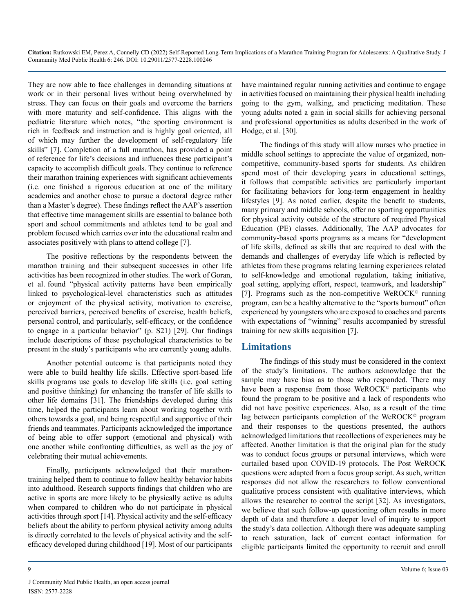They are now able to face challenges in demanding situations at work or in their personal lives without being overwhelmed by stress. They can focus on their goals and overcome the barriers with more maturity and self-confidence. This aligns with the pediatric literature which notes, "the sporting environment is rich in feedback and instruction and is highly goal oriented, all of which may further the development of self-regulatory life skills" [7]. Completion of a full marathon, has provided a point of reference for life's decisions and influences these participant's capacity to accomplish difficult goals. They continue to reference their marathon training experiences with significant achievements (i.e. one finished a rigorous education at one of the military academies and another chose to pursue a doctoral degree rather than a Master's degree). These findings reflect the AAP's assertion that effective time management skills are essential to balance both sport and school commitments and athletes tend to be goal and problem focused which carries over into the educational realm and associates positively with plans to attend college [7].

The positive reflections by the respondents between the marathon training and their subsequent successes in other life activities has been recognized in other studies. The work of Goran, et al. found "physical activity patterns have been empirically linked to psychological-level characteristics such as attitudes or enjoyment of the physical activity, motivation to exercise, perceived barriers, perceived benefits of exercise, health beliefs, personal control, and particularly, self-efficacy, or the confidence to engage in a particular behavior" (p. S21) [29]. Our findings include descriptions of these psychological characteristics to be present in the study's participants who are currently young adults.

Another potential outcome is that participants noted they were able to build healthy life skills. Effective sport-based life skills programs use goals to develop life skills (i.e. goal setting and positive thinking) for enhancing the transfer of life skills to other life domains [31]. The friendships developed during this time, helped the participants learn about working together with others towards a goal, and being respectful and supportive of their friends and teammates. Participants acknowledged the importance of being able to offer support (emotional and physical) with one another while confronting difficulties, as well as the joy of celebrating their mutual achievements.

Finally, participants acknowledged that their marathontraining helped them to continue to follow healthy behavior habits into adulthood. Research supports findings that children who are active in sports are more likely to be physically active as adults when compared to children who do not participate in physical activities through sport [14]. Physical activity and the self-efficacy beliefs about the ability to perform physical activity among adults is directly correlated to the levels of physical activity and the selfefficacy developed during childhood [19]. Most of our participants

have maintained regular running activities and continue to engage in activities focused on maintaining their physical health including going to the gym, walking, and practicing meditation. These young adults noted a gain in social skills for achieving personal and professional opportunities as adults described in the work of Hodge, et al. [30].

The findings of this study will allow nurses who practice in middle school settings to appreciate the value of organized, noncompetitive, community-based sports for students. As children spend most of their developing years in educational settings, it follows that compatible activities are particularly important for facilitating behaviors for long-term engagement in healthy lifestyles [9]. As noted earlier, despite the benefit to students, many primary and middle schools, offer no sporting opportunities for physical activity outside of the structure of required Physical Education (PE) classes. Additionally, The AAP advocates for community-based sports programs as a means for "development of life skills, defined as skills that are required to deal with the demands and challenges of everyday life which is reflected by athletes from these programs relating learning experiences related to self-knowledge and emotional regulation, taking initiative, goal setting, applying effort, respect, teamwork, and leadership" [7]. Programs such as the non-competitive WeROCK<sup>®</sup> running program, can be a healthy alternative to the "sports burnout" often experienced by youngsters who are exposed to coaches and parents with expectations of "winning" results accompanied by stressful training for new skills acquisition [7].

#### **Limitations**

The findings of this study must be considered in the context of the study's limitations. The authors acknowledge that the sample may have bias as to those who responded. There may have been a response from those WeROCK<sup>®</sup> participants who found the program to be positive and a lack of respondents who did not have positive experiences. Also, as a result of the time lag between participants completion of the WeROCK<sup>®</sup> program and their responses to the questions presented, the authors acknowledged limitations that recollections of experiences may be affected. Another limitation is that the original plan for the study was to conduct focus groups or personal interviews, which were curtailed based upon COVID-19 protocols. The Post WeROCK questions were adapted from a focus group script. As such, written responses did not allow the researchers to follow conventional qualitative process consistent with qualitative interviews, which allows the researcher to control the script [32]. As investigators, we believe that such follow-up questioning often results in more depth of data and therefore a deeper level of inquiry to support the study's data collection. Although there was adequate sampling to reach saturation, lack of current contact information for eligible participants limited the opportunity to recruit and enroll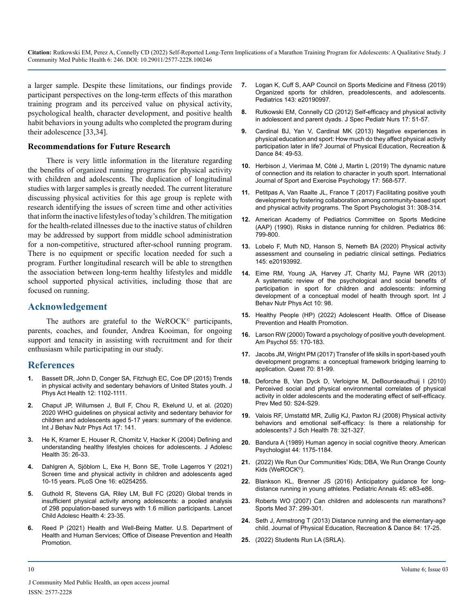a larger sample. Despite these limitations, our findings provide participant perspectives on the long-term effects of this marathon training program and its perceived value on physical activity, psychological health, character development, and positive health habit behaviors in young adults who completed the program during their adolescence [33,34].

#### **Recommendations for Future Research**

There is very little information in the literature regarding the benefits of organized running programs for physical activity with children and adolescents. The duplication of longitudinal studies with larger samples is greatly needed. The current literature discussing physical activities for this age group is replete with research identifying the issues of screen time and other activities that inform the inactive lifestyles of today's children. The mitigation for the health-related illnesses due to the inactive status of children may be addressed by support from middle school administration for a non-competitive, structured after-school running program. There is no equipment or specific location needed for such a program. Further longitudinal research will be able to strengthen the association between long-term healthy lifestyles and middle school supported physical activities, including those that are focused on running.

#### **Acknowledgement**

The authors are grateful to the WeROCK $<sup>°</sup>$  participants,</sup> parents, coaches, and founder, Andrea Kooiman, for ongoing support and tenacity in assisting with recruitment and for their enthusiasm while participating in our study.

#### **References**

- **1.** [Bassett DR, John D, Conger SA, Fitzhugh EC, Coe DP \(2015\) Trends](https://pubmed.ncbi.nlm.nih.gov/25347913/) [in physical activity and sedentary behaviors of United States youth. J](https://pubmed.ncbi.nlm.nih.gov/25347913/) [Phys Act Health 12: 1102-1111.](https://pubmed.ncbi.nlm.nih.gov/25347913/)
- **2.** [Chaput JP, Willumsen J, Bull F, Chou R, Ekelund U, et al. \(2020\)](https://pubmed.ncbi.nlm.nih.gov/33239009/)  [2020 WHO guidelines on physical activity and sedentary behavior for](https://pubmed.ncbi.nlm.nih.gov/33239009/)  [children and adolescents aged 5-17 years: summary of the evidence.](https://pubmed.ncbi.nlm.nih.gov/33239009/) [Int J Behav Nutr Phys Act 17: 141.](https://pubmed.ncbi.nlm.nih.gov/33239009/)
- **3.** [He K, Kramer E, Houser R, Chomitz V, Hacker K \(2004\) Defining and](https://pubmed.ncbi.nlm.nih.gov/15193571/)  [understanding healthy lifestyles choices for adolescents. J Adolesc](https://pubmed.ncbi.nlm.nih.gov/15193571/)  [Health 35: 26-33.](https://pubmed.ncbi.nlm.nih.gov/15193571/)
- **4.** [Dahlgren A, Sjöblom L, Eke H, Bonn SE, Trolle Lagerros Y \(2021\)](https://pubmed.ncbi.nlm.nih.gov/34242329/)  [Screen time and physical activity in children and adolescents aged](https://pubmed.ncbi.nlm.nih.gov/34242329/)  [10-15 years. PLoS One 16: e0254255.](https://pubmed.ncbi.nlm.nih.gov/34242329/)
- **5.** [Guthold R, Stevens GA, Riley LM, Bull FC \(2020\) Global trends in](https://pubmed.ncbi.nlm.nih.gov/31761562/)  [insufficient physical activity among adolescents: a pooled analysis](https://pubmed.ncbi.nlm.nih.gov/31761562/)  [of 298 population-based surveys with 1.6 million participants. Lancet](https://pubmed.ncbi.nlm.nih.gov/31761562/)  [Child Adolesc Health 4: 23-35.](https://pubmed.ncbi.nlm.nih.gov/31761562/)
- **6.** [Reed P \(2021\) Health and Well-Being Matter. U.S. Department of](file:///C:/Users/phani/Desktop/https/: www.health.gov/news/202112/physical-activity-good-mind-and-body)  [Health and Human Services; Office of Disease Prevention and Health](file:///C:/Users/phani/Desktop/https/: www.health.gov/news/202112/physical-activity-good-mind-and-body)  **Promotion**
- **7.** [Logan K, Cuff S, AAP Council on Sports Medicine and Fitness \(2019\)](https://pubmed.ncbi.nlm.nih.gov/31110166/)  [Organized sports for children, preadolescents, and adolescents.](https://pubmed.ncbi.nlm.nih.gov/31110166/)  [Pediatrics 143: e20190997.](https://pubmed.ncbi.nlm.nih.gov/31110166/)
- **8.** [Rutkowski EM, Connelly CD \(2012\) Self-efficacy and physical activity](https://pubmed.ncbi.nlm.nih.gov/22188272/)  [in adolescent and parent dyads. J Spec Pediatr Nurs 17: 51-57.](https://pubmed.ncbi.nlm.nih.gov/22188272/)
- **9.** [Cardinal BJ, Yan V, Cardinal MK \(2013\) Negative experiences in](https://eric.ed.gov/?id=EJ1013144)  [physical education and sport: How much do they affect physical activity](https://eric.ed.gov/?id=EJ1013144) [participation later in life? Journal of Physical Education, Recreation &](https://eric.ed.gov/?id=EJ1013144)  [Dance 84: 49-53.](https://eric.ed.gov/?id=EJ1013144)
- **10.** [Herbison J, Vierimaa M, Côté J, Martin L \(2019\) The dynamic nature](https://psycnet.apa.org/record/2018-31756-001)  [of connection and its relation to character in youth sport. International](https://psycnet.apa.org/record/2018-31756-001)  [Journal of Sport and Exercise Psychology 17: 568-577.](https://psycnet.apa.org/record/2018-31756-001)
- **11.** [Petitpas A, Van Raalte JL, France T \(2017\) Facilitating positive youth](https://journals.humankinetics.com/view/journals/tsp/31/3/article-p308.xml) [development by fostering collaboration among community-based sport](https://journals.humankinetics.com/view/journals/tsp/31/3/article-p308.xml)  [and physical activity programs. The Sport Psychologist 31: 308-314.](https://journals.humankinetics.com/view/journals/tsp/31/3/article-p308.xml)
- **12.** [American Academy of Pediatrics Committee on Sports Medicine](https://pubmed.ncbi.nlm.nih.gov/2235238/)  [\(AAP\) \(1990\). Risks in distance running for children. Pediatrics 86:](https://pubmed.ncbi.nlm.nih.gov/2235238/)  [799-800.](https://pubmed.ncbi.nlm.nih.gov/2235238/)
- **13.** [Lobelo F, Muth ND, Hanson S, Nemeth BA \(2020\) Physical activity](https://pubmed.ncbi.nlm.nih.gov/32094289/)  [assessment and counseling in pediatric clinical settings. Pediatrics](https://pubmed.ncbi.nlm.nih.gov/32094289/)  [145: e20193992.](https://pubmed.ncbi.nlm.nih.gov/32094289/)
- **14.** [Eime RM, Young JA, Harvey JT, Charity MJ, Payne WR \(2013\)](https://pubmed.ncbi.nlm.nih.gov/23945179/)  [A systematic review of the psychological and social benefits of](https://pubmed.ncbi.nlm.nih.gov/23945179/)  [participation in sport for children and adolescents: informing](https://pubmed.ncbi.nlm.nih.gov/23945179/)  [development of a conceptual model of health through sport. Int J](https://pubmed.ncbi.nlm.nih.gov/23945179/)  [Behav Nutr Phys Act 10: 98.](https://pubmed.ncbi.nlm.nih.gov/23945179/)
- **15.** [Healthy People \(HP\) \(2022\) Adolescent Health. Office of Disease](https://www.healthypeople.gov/2020/topics-objectives/topic/Adolescent-Health)  [Prevention and Health Promotion.](https://www.healthypeople.gov/2020/topics-objectives/topic/Adolescent-Health)
- **16.** [Larson RW \(2000\) Toward a psychology of positive youth development.](https://pubmed.ncbi.nlm.nih.gov/11392861/)  [Am Psychol 55: 170-183.](https://pubmed.ncbi.nlm.nih.gov/11392861/)
- **17.** [Jacobs JM, Wright PM \(2017\) Transfer of life skills in sport-based youth](https://www.tandfonline.com/doi/abs/10.1080/00336297.2017.1348304)  [development programs: a conceptual framework bridging learning to](https://www.tandfonline.com/doi/abs/10.1080/00336297.2017.1348304)  [application. Quest 70: 81-99.](https://www.tandfonline.com/doi/abs/10.1080/00336297.2017.1348304)
- **18.** [Deforche B, Van Dyck D, Verloigne M, DeBourdeaudhuij I \(2010\)](https://pubmed.ncbi.nlm.nih.gov/19818363/)  [Perceived social and physical environmental correlates of physical](https://pubmed.ncbi.nlm.nih.gov/19818363/)  [activity in older adolescents and the moderating effect of self-efficacy.](https://pubmed.ncbi.nlm.nih.gov/19818363/) [Prev Med 50: S24-S29.](https://pubmed.ncbi.nlm.nih.gov/19818363/)
- **19.** [Valois RF, Umstattd MR, Zullig KJ, Paxton RJ \(2008\) Physical activity](https://pubmed.ncbi.nlm.nih.gov/18489465/)  [behaviors and emotional self-efficacy: Is there a relationship for](https://pubmed.ncbi.nlm.nih.gov/18489465/)  [adolescents? J Sch Health 78: 321-327.](https://pubmed.ncbi.nlm.nih.gov/18489465/)
- **20.** [Bandura A \(1989\) Human agency in social cognitive theory. American](https://pubmed.ncbi.nlm.nih.gov/2782727/)  [Psychologist 44: 1175-1184.](https://pubmed.ncbi.nlm.nih.gov/2782727/)
- **21.** [\(2022\) We Run Our Communities' Kids; DBA, We Run Orange County](https://werunockids.org/)  [Kids \(WeROCK©\).](https://werunockids.org/)
- **22.** [Blankson KL, Brenner JS \(2016\) Anticipatory guidance for long](https://journals.healio.com/doi/full/10.3928/00904481-20160210-01)[distance running in young athletes. Pediatric Annals 45: e83-e86.](https://journals.healio.com/doi/full/10.3928/00904481-20160210-01)
- **23.** [Roberts WO \(2007\) Can children and adolescents run marathons?](https://pubmed.ncbi.nlm.nih.gov/17465593/)  [Sports Med 37: 299-301.](https://pubmed.ncbi.nlm.nih.gov/17465593/)
- **24.** [Seth J, Armstrong T \(2013\) Distance running and the elementary-age](https://eric.ed.gov/?id=EJ1013149)  [child. Journal of Physical Education, Recreation & Dance 84: 17-25.](https://eric.ed.gov/?id=EJ1013149)
- **25.** [\(2022\) Students Run LA \(SRLA\).](https://www.srla.org)